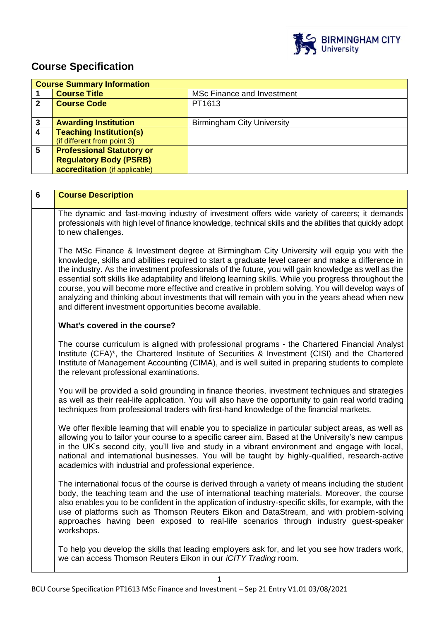

# **Course Specification**

|   | <b>Course Summary Information</b> |                                   |
|---|-----------------------------------|-----------------------------------|
|   | <b>Course Title</b>               | <b>MSc Finance and Investment</b> |
| 2 | <b>Course Code</b>                | PT1613                            |
|   |                                   |                                   |
|   | <b>Awarding Institution</b>       | <b>Birmingham City University</b> |
|   | <b>Teaching Institution(s)</b>    |                                   |
|   | (if different from point 3)       |                                   |
| 5 | <b>Professional Statutory or</b>  |                                   |
|   | <b>Regulatory Body (PSRB)</b>     |                                   |
|   | accreditation (if applicable)     |                                   |

| $6\phantom{1}$ | <b>Course Description</b>                                                                                                                                                                                                                                                                                                                                                                                                                                                                                                                                                                                                                                                           |
|----------------|-------------------------------------------------------------------------------------------------------------------------------------------------------------------------------------------------------------------------------------------------------------------------------------------------------------------------------------------------------------------------------------------------------------------------------------------------------------------------------------------------------------------------------------------------------------------------------------------------------------------------------------------------------------------------------------|
|                | The dynamic and fast-moving industry of investment offers wide variety of careers; it demands<br>professionals with high level of finance knowledge, technical skills and the abilities that quickly adopt<br>to new challenges.                                                                                                                                                                                                                                                                                                                                                                                                                                                    |
|                | The MSc Finance & Investment degree at Birmingham City University will equip you with the<br>knowledge, skills and abilities required to start a graduate level career and make a difference in<br>the industry. As the investment professionals of the future, you will gain knowledge as well as the<br>essential soft skills like adaptability and lifelong learning skills. While you progress throughout the<br>course, you will become more effective and creative in problem solving. You will develop ways of<br>analyzing and thinking about investments that will remain with you in the years ahead when new<br>and different investment opportunities become available. |
|                | What's covered in the course?                                                                                                                                                                                                                                                                                                                                                                                                                                                                                                                                                                                                                                                       |
|                | The course curriculum is aligned with professional programs - the Chartered Financial Analyst<br>Institute (CFA)*, the Chartered Institute of Securities & Investment (CISI) and the Chartered<br>Institute of Management Accounting (CIMA), and is well suited in preparing students to complete<br>the relevant professional examinations.                                                                                                                                                                                                                                                                                                                                        |
|                | You will be provided a solid grounding in finance theories, investment techniques and strategies<br>as well as their real-life application. You will also have the opportunity to gain real world trading<br>techniques from professional traders with first-hand knowledge of the financial markets.                                                                                                                                                                                                                                                                                                                                                                               |
|                | We offer flexible learning that will enable you to specialize in particular subject areas, as well as<br>allowing you to tailor your course to a specific career aim. Based at the University's new campus<br>in the UK's second city, you'll live and study in a vibrant environment and engage with local,<br>national and international businesses. You will be taught by highly-qualified, research-active<br>academics with industrial and professional experience.                                                                                                                                                                                                            |
|                | The international focus of the course is derived through a variety of means including the student<br>body, the teaching team and the use of international teaching materials. Moreover, the course<br>also enables you to be confident in the application of industry-specific skills, for example, with the<br>use of platforms such as Thomson Reuters Eikon and DataStream, and with problem-solving<br>approaches having been exposed to real-life scenarios through industry guest-speaker<br>workshops.                                                                                                                                                                       |
|                | To help you develop the skills that leading employers ask for, and let you see how traders work,<br>we can access Thomson Reuters Eikon in our <i>iCITY Trading</i> room.                                                                                                                                                                                                                                                                                                                                                                                                                                                                                                           |

BCU Course Specification PT1613 MSc Finance and Investment – Sep 21 Entry V1.01 03/08/2021

1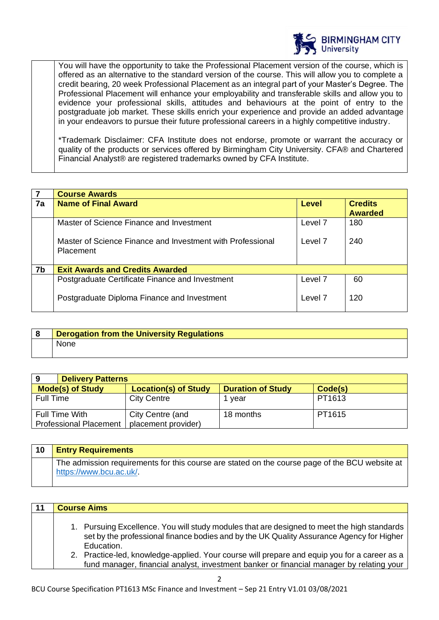

You will have the opportunity to take the Professional Placement version of the course, which is offered as an alternative to the standard version of the course. This will allow you to complete a credit bearing, 20 week Professional Placement as an integral part of your Master's Degree. The Professional Placement will enhance your employability and transferable skills and allow you to evidence your professional skills, attitudes and behaviours at the point of entry to the postgraduate job market. These skills enrich your experience and provide an added advantage in your endeavors to pursue their future professional careers in a highly competitive industry.

\*Trademark Disclaimer: CFA Institute does not endorse, promote or warrant the accuracy or quality of the products or services offered by Birmingham City University. CFA® and Chartered Financial Analyst® are registered trademarks owned by CFA Institute.

| $\overline{7}$ | <b>Course Awards</b>                                                           |                    |                                  |
|----------------|--------------------------------------------------------------------------------|--------------------|----------------------------------|
| 7a             | <b>Name of Final Award</b>                                                     | Level              | <b>Credits</b><br><b>Awarded</b> |
|                | Master of Science Finance and Investment                                       | Level <sub>7</sub> | 180                              |
|                | Master of Science Finance and Investment with Professional<br><b>Placement</b> | Level 7            | 240                              |
| 7 <sub>b</sub> | <b>Exit Awards and Credits Awarded</b>                                         |                    |                                  |
|                | Postgraduate Certificate Finance and Investment                                | Level 7            | 60                               |
|                | Postgraduate Diploma Finance and Investment                                    | Level 7            | 120                              |

| <b>Derogation from the University Regulations</b> |
|---------------------------------------------------|
| <b>None</b>                                       |

| 9<br><b>Delivery Patterns</b> |                             |                          |         |
|-------------------------------|-----------------------------|--------------------------|---------|
| <b>Mode(s) of Study</b>       | <b>Location(s) of Study</b> | <b>Duration of Study</b> | Code(s) |
| <b>Full Time</b>              | <b>City Centre</b>          | vear                     | PT1613  |
| <b>Full Time With</b>         | City Centre (and            | 18 months                | PT1615  |
| <b>Professional Placement</b> | placement provider)         |                          |         |

| 10 | <b>Entry Requirements</b>                                                                                                |
|----|--------------------------------------------------------------------------------------------------------------------------|
|    | The admission requirements for this course are stated on the course page of the BCU website at<br>https://www.bcu.ac.uk/ |

|  | <b>Course Aims</b>                                                                                                                                                                                                                                                                                    |
|--|-------------------------------------------------------------------------------------------------------------------------------------------------------------------------------------------------------------------------------------------------------------------------------------------------------|
|  | 1. Pursuing Excellence. You will study modules that are designed to meet the high standards<br>set by the professional finance bodies and by the UK Quality Assurance Agency for Higher<br>Education.<br>2. Practice-led, knowledge-applied. Your course will prepare and equip you for a career as a |
|  | fund manager, financial analyst, investment banker or financial manager by relating your                                                                                                                                                                                                              |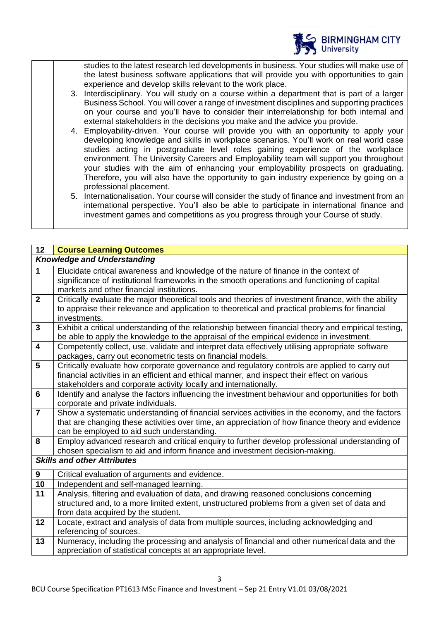

studies to the latest research led developments in business. Your studies will make use of the latest business software applications that will provide you with opportunities to gain experience and develop skills relevant to the work place.

- 3. Interdisciplinary. You will study on a course within a department that is part of a larger Business School. You will cover a range of investment disciplines and supporting practices on your course and you'll have to consider their interrelationship for both internal and external stakeholders in the decisions you make and the advice you provide.
- 4. Employability-driven. Your course will provide you with an opportunity to apply your developing knowledge and skills in workplace scenarios. You'll work on real world case studies acting in postgraduate level roles gaining experience of the workplace environment. The University Careers and Employability team will support you throughout your studies with the aim of enhancing your employability prospects on graduating. Therefore, you will also have the opportunity to gain industry experience by going on a professional placement.
- 5. Internationalisation. Your course will consider the study of finance and investment from an international perspective. You'll also be able to participate in international finance and investment games and competitions as you progress through your Course of study.

| 12               | <b>Course Learning Outcomes</b>                                                                                                              |
|------------------|----------------------------------------------------------------------------------------------------------------------------------------------|
|                  | <b>Knowledge and Understanding</b>                                                                                                           |
| $\mathbf{1}$     | Elucidate critical awareness and knowledge of the nature of finance in the context of                                                        |
|                  | significance of institutional frameworks in the smooth operations and functioning of capital                                                 |
|                  | markets and other financial institutions.                                                                                                    |
| $\overline{2}$   | Critically evaluate the major theoretical tools and theories of investment finance, with the ability                                         |
|                  | to appraise their relevance and application to theoretical and practical problems for financial                                              |
| $\mathbf{3}$     | investments.<br>Exhibit a critical understanding of the relationship between financial theory and empirical testing,                         |
|                  | be able to apply the knowledge to the appraisal of the empirical evidence in investment.                                                     |
| $\overline{4}$   | Competently collect, use, validate and interpret data effectively utilising appropriate software                                             |
|                  | packages, carry out econometric tests on financial models.                                                                                   |
| $5\phantom{1}$   | Critically evaluate how corporate governance and regulatory controls are applied to carry out                                                |
|                  | financial activities in an efficient and ethical manner, and inspect their effect on various                                                 |
|                  | stakeholders and corporate activity locally and internationally.                                                                             |
| $6\phantom{1}6$  | Identify and analyse the factors influencing the investment behaviour and opportunities for both                                             |
|                  | corporate and private individuals.                                                                                                           |
| $\overline{7}$   | Show a systematic understanding of financial services activities in the economy, and the factors                                             |
|                  | that are changing these activities over time, an appreciation of how finance theory and evidence                                             |
| 8                | can be employed to aid such understanding.<br>Employ advanced research and critical enquiry to further develop professional understanding of |
|                  | chosen specialism to aid and inform finance and investment decision-making.                                                                  |
|                  | <b>Skills and other Attributes</b>                                                                                                           |
|                  |                                                                                                                                              |
| $\boldsymbol{9}$ | Critical evaluation of arguments and evidence.                                                                                               |
| 10               | Independent and self-managed learning.                                                                                                       |
| 11               | Analysis, filtering and evaluation of data, and drawing reasoned conclusions concerning                                                      |
|                  | structured and, to a more limited extent, unstructured problems from a given set of data and                                                 |
|                  | from data acquired by the student.                                                                                                           |
| 12               | Locate, extract and analysis of data from multiple sources, including acknowledging and<br>referencing of sources.                           |
| 13               | Numeracy, including the processing and analysis of financial and other numerical data and the                                                |
|                  | appreciation of statistical concepts at an appropriate level.                                                                                |
|                  |                                                                                                                                              |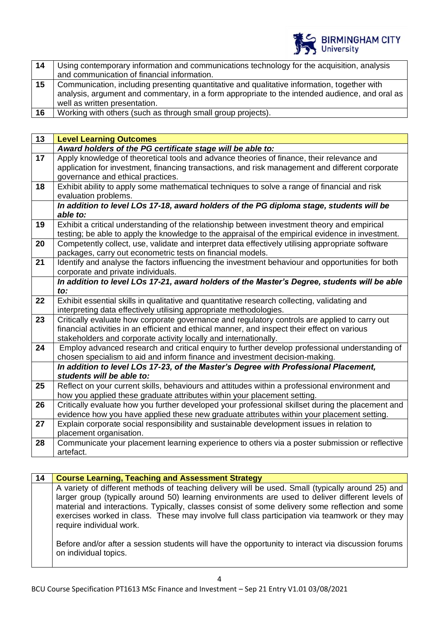

| 14 | Using contemporary information and communications technology for the acquisition, analysis     |
|----|------------------------------------------------------------------------------------------------|
|    | and communication of financial information.                                                    |
| 15 | Communication, including presenting quantitative and qualitative information, together with    |
|    | analysis, argument and commentary, in a form appropriate to the intended audience, and oral as |
|    | well as written presentation.                                                                  |
| 16 | Working with others (such as through small group projects).                                    |

| 13 | <b>Level Learning Outcomes</b>                                                                    |
|----|---------------------------------------------------------------------------------------------------|
|    | Award holders of the PG certificate stage will be able to:                                        |
| 17 | Apply knowledge of theoretical tools and advance theories of finance, their relevance and         |
|    | application for investment, financing transactions, and risk management and different corporate   |
|    | governance and ethical practices.                                                                 |
| 18 | Exhibit ability to apply some mathematical techniques to solve a range of financial and risk      |
|    | evaluation problems.                                                                              |
|    | In addition to level LOs 17-18, award holders of the PG diploma stage, students will be           |
|    | able to:                                                                                          |
| 19 | Exhibit a critical understanding of the relationship between investment theory and empirical      |
|    | testing; be able to apply the knowledge to the appraisal of the empirical evidence in investment. |
| 20 | Competently collect, use, validate and interpret data effectively utilising appropriate software  |
|    | packages, carry out econometric tests on financial models.                                        |
| 21 | Identify and analyse the factors influencing the investment behaviour and opportunities for both  |
|    | corporate and private individuals.                                                                |
|    | In addition to level LOs 17-21, award holders of the Master's Degree, students will be able       |
|    | to:                                                                                               |
| 22 | Exhibit essential skills in qualitative and quantitative research collecting, validating and      |
|    | interpreting data effectively utilising appropriate methodologies.                                |
| 23 | Critically evaluate how corporate governance and regulatory controls are applied to carry out     |
|    | financial activities in an efficient and ethical manner, and inspect their effect on various      |
|    | stakeholders and corporate activity locally and internationally.                                  |
| 24 | Employ advanced research and critical enquiry to further develop professional understanding of    |
|    | chosen specialism to aid and inform finance and investment decision-making.                       |
|    | In addition to level LOs 17-23, of the Master's Degree with Professional Placement,               |
|    | students will be able to:                                                                         |
| 25 | Reflect on your current skills, behaviours and attitudes within a professional environment and    |
|    | how you applied these graduate attributes within your placement setting.                          |
| 26 | Critically evaluate how you further developed your professional skillset during the placement and |
|    | evidence how you have applied these new graduate attributes within your placement setting.        |
| 27 | Explain corporate social responsibility and sustainable development issues in relation to         |
|    | placement organisation.                                                                           |
| 28 | Communicate your placement learning experience to others via a poster submission or reflective    |
|    | artefact.                                                                                         |

| 14 | <b>Course Learning, Teaching and Assessment Strategy</b>                                                                                                                                                                                                                                                                                                                                                                                                                                                                                     |
|----|----------------------------------------------------------------------------------------------------------------------------------------------------------------------------------------------------------------------------------------------------------------------------------------------------------------------------------------------------------------------------------------------------------------------------------------------------------------------------------------------------------------------------------------------|
|    | A variety of different methods of teaching delivery will be used. Small (typically around 25) and<br>larger group (typically around 50) learning environments are used to deliver different levels of<br>material and interactions. Typically, classes consist of some delivery some reflection and some<br>exercises worked in class. These may involve full class participation via teamwork or they may<br>require individual work.<br>Before and/or after a session students will have the opportunity to interact via discussion forums |
|    | on individual topics.                                                                                                                                                                                                                                                                                                                                                                                                                                                                                                                        |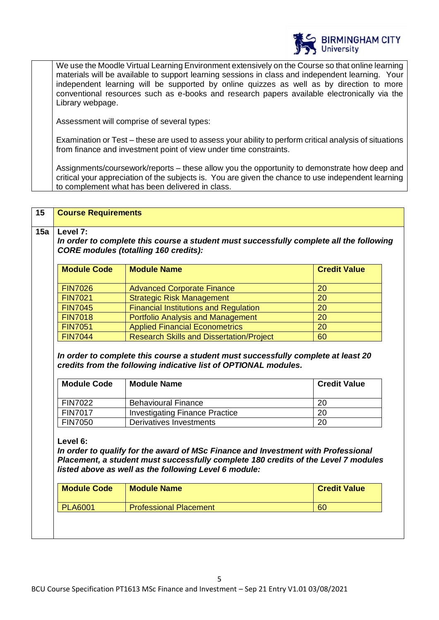

We use the Moodle Virtual Learning Environment extensively on the Course so that online learning materials will be available to support learning sessions in class and independent learning. Your independent learning will be supported by online quizzes as well as by direction to more conventional resources such as e-books and research papers available electronically via the Library webpage.

Assessment will comprise of several types:

Examination or Test – these are used to assess your ability to perform critical analysis of situations from finance and investment point of view under time constraints.

Assignments/coursework/reports – these allow you the opportunity to demonstrate how deep and critical your appreciation of the subjects is. You are given the chance to use independent learning to complement what has been delivered in class.

| <b>Module Code</b>                           | <b>Module Name</b>                                                                                                                                                                                                               | <b>Credit Value</b> |
|----------------------------------------------|----------------------------------------------------------------------------------------------------------------------------------------------------------------------------------------------------------------------------------|---------------------|
| <b>FIN7026</b>                               | <b>Advanced Corporate Finance</b>                                                                                                                                                                                                | 20                  |
| <b>FIN7021</b>                               | <b>Strategic Risk Management</b>                                                                                                                                                                                                 | 20                  |
| <b>FIN7045</b>                               | <b>Financial Institutions and Regulation</b>                                                                                                                                                                                     | 20                  |
| <b>FIN7018</b>                               | <b>Portfolio Analysis and Management</b>                                                                                                                                                                                         | 20                  |
| <b>FIN7051</b>                               | <b>Applied Financial Econometrics</b>                                                                                                                                                                                            | 20                  |
| <b>FIN7044</b>                               | <b>Research Skills and Dissertation/Project</b>                                                                                                                                                                                  | 60                  |
| <b>Module Code</b>                           | In order to complete this course a student must successfully complete at least 20<br>credits from the following indicative list of OPTIONAL modules.<br><b>Module Name</b>                                                       | <b>Credit Value</b> |
|                                              |                                                                                                                                                                                                                                  |                     |
| <b>FIN7022</b>                               | <b>Behavioural Finance</b>                                                                                                                                                                                                       | 20                  |
|                                              | <b>Investigating Finance Practice</b><br><b>Derivatives Investments</b>                                                                                                                                                          | 20<br>20            |
| <b>FIN7017</b><br><b>FIN7050</b><br>Level 6: | In order to qualify for the award of MSc Finance and Investment with Professional<br>Placement, a student must successfully complete 180 credits of the Level 7 modules<br>listed above as well as the following Level 6 module: |                     |
| <b>Module Code</b>                           | <b>Module Name</b>                                                                                                                                                                                                               | <b>Credit Value</b> |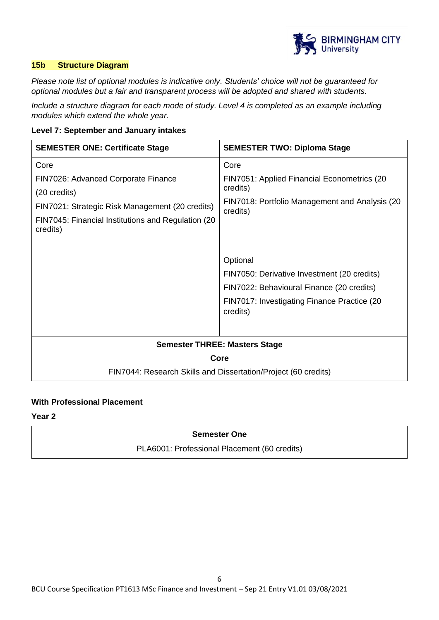

# **15b Structure Diagram**

*Please note list of optional modules is indicative only. Students' choice will not be guaranteed for optional modules but a fair and transparent process will be adopted and shared with students.*

*Include a structure diagram for each mode of study. Level 4 is completed as an example including modules which extend the whole year.* 

#### **Level 7: September and January intakes**

| <b>SEMESTER ONE: Certificate Stage</b>                         | <b>SEMESTER TWO: Diploma Stage</b>                         |
|----------------------------------------------------------------|------------------------------------------------------------|
| Core                                                           | Core                                                       |
| FIN7026: Advanced Corporate Finance                            | FIN7051: Applied Financial Econometrics (20                |
| (20 credits)                                                   | credits)                                                   |
| FIN7021: Strategic Risk Management (20 credits)                | FIN7018: Portfolio Management and Analysis (20<br>credits) |
| FIN7045: Financial Institutions and Regulation (20<br>credits) |                                                            |
|                                                                |                                                            |
|                                                                | Optional                                                   |
|                                                                | FIN7050: Derivative Investment (20 credits)                |
|                                                                | FIN7022: Behavioural Finance (20 credits)                  |
|                                                                | FIN7017: Investigating Finance Practice (20<br>credits)    |
|                                                                |                                                            |
| <b>Semester THREE: Masters Stage</b>                           |                                                            |
| Core                                                           |                                                            |
| FIN7044: Research Skills and Dissertation/Project (60 credits) |                                                            |

# **With Professional Placement**

**Year 2** 

# **Semester One**

PLA6001: Professional Placement (60 credits)